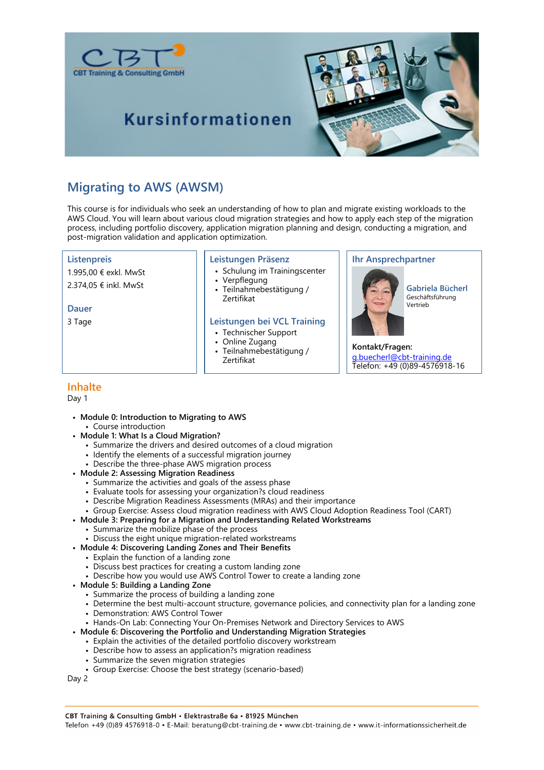





## **Migrating to AWS (AWSM)**

This course is for individuals who seek an understanding of how to plan and migrate existing workloads to the AWS Cloud. You will learn about various cloud migration strategies and how to apply each step of the migration process, including portfolio discovery, application migration planning and design, conducting a migration, and post-migration validation and application optimization.

### **Listenpreis**

1.995,00 € exkl. MwSt

2.374,05 € inkl. MwSt

### **Dauer**

3 Tage

### **Leistungen Präsenz**

- Schulung im Trainingscenter
- Verpflegung
- Teilnahmebestätigung / Zertifikat

### **Leistungen bei VCL Training**

- Technischer Support
- Online Zugang
- Teilnahmebestätigung / Zertifikat

### **Ihr Ansprechpartner**



**Gabriela Bücherl** Geschäftsführung Vertrieb

**Kontakt/Fragen:** g.buecherl@cbt-training.de Telefon: +49 (0)89-4576918-16

### **Inhalte**

Day 1

- **Module 0: Introduction to Migrating to AWS** • Course introduction
- **Module 1: What Is a Cloud Migration?**
	- Summarize the drivers and desired outcomes of a cloud migration
	- Identify the elements of a successful migration journey
	- Describe the three-phase AWS migration process
- **Module 2: Assessing Migration Readiness**
	- Summarize the activities and goals of the assess phase
	- Evaluate tools for assessing your organization?s cloud readiness
	- Describe Migration Readiness Assessments (MRAs) and their importance
	- Group Exercise: Assess cloud migration readiness with AWS Cloud Adoption Readiness Tool (CART)
- **Module 3: Preparing for a Migration and Understanding Related Workstreams**
	- Summarize the mobilize phase of the process
	- Discuss the eight unique migration-related workstreams
- **Module 4: Discovering Landing Zones and Their Benefits**
	- Explain the function of a landing zone
		- Discuss best practices for creating a custom landing zone
	- Describe how you would use AWS Control Tower to create a landing zone
- **Module 5: Building a Landing Zone**
	- Summarize the process of building a landing zone
	- Determine the best multi-account structure, governance policies, and connectivity plan for a landing zone
	- Demonstration: AWS Control Tower
	- Hands-On Lab: Connecting Your On-Premises Network and Directory Services to AWS
- **Module 6: Discovering the Portfolio and Understanding Migration Strategies**
	- Explain the activities of the detailed portfolio discovery workstream
	- Describe how to assess an application?s migration readiness
	- Summarize the seven migration strategies
	- Group Exercise: Choose the best strategy (scenario-based)

Day 2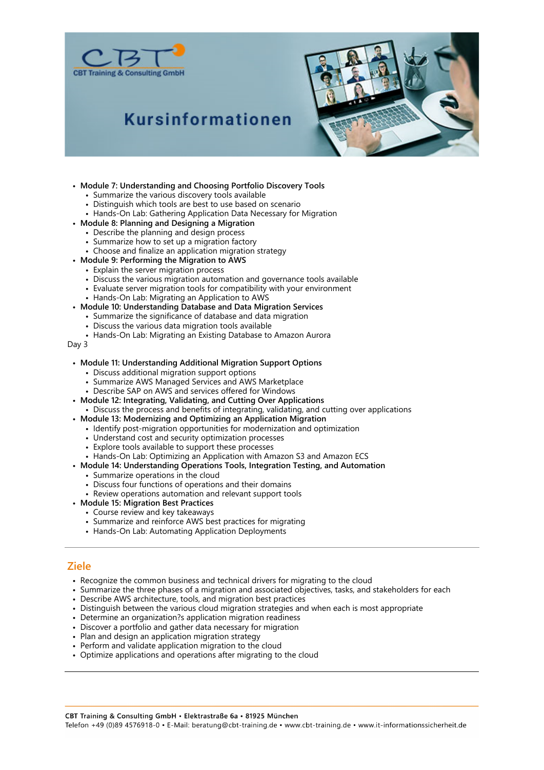



# **Kursinformationen**

- **Module 7: Understanding and Choosing Portfolio Discovery Tools**
	- Summarize the various discovery tools available
	- Distinguish which tools are best to use based on scenario
	- Hands-On Lab: Gathering Application Data Necessary for Migration
- **Module 8: Planning and Designing a Migration**
- Describe the planning and design process
	- Summarize how to set up a migration factory
	- Choose and finalize an application migration strategy
- **Module 9: Performing the Migration to AWS**
	- Explain the server migration process
	- Discuss the various migration automation and governance tools available
	- Evaluate server migration tools for compatibility with your environment
	- Hands-On Lab: Migrating an Application to AWS
- **Module 10: Understanding Database and Data Migration Services**
	- Summarize the significance of database and data migration
	- Discuss the various data migration tools available
	- Hands-On Lab: Migrating an Existing Database to Amazon Aurora

#### Day 3

- **Module 11: Understanding Additional Migration Support Options**
	- Discuss additional migration support options
	- Summarize AWS Managed Services and AWS Marketplace
	- Describe SAP on AWS and services offered for Windows
- **Module 12: Integrating, Validating, and Cutting Over Applications**
- Discuss the process and benefits of integrating, validating, and cutting over applications
- **Module 13: Modernizing and Optimizing an Application Migration**
	- Identify post-migration opportunities for modernization and optimization
	- Understand cost and security optimization processes
	- Explore tools available to support these processes
	- Hands-On Lab: Optimizing an Application with Amazon S3 and Amazon ECS
- **Module 14: Understanding Operations Tools, Integration Testing, and Automation**
	- Summarize operations in the cloud
	- Discuss four functions of operations and their domains
	- Review operations automation and relevant support tools
- **Module 15: Migration Best Practices**
	- Course review and key takeaways
	- Summarize and reinforce AWS best practices for migrating
	- Hands-On Lab: Automating Application Deployments

### **Ziele**

- Recognize the common business and technical drivers for migrating to the cloud
- Summarize the three phases of a migration and associated objectives, tasks, and stakeholders for each
- Describe AWS architecture, tools, and migration best practices
- Distinguish between the various cloud migration strategies and when each is most appropriate
- Determine an organization?s application migration readiness
- Discover a portfolio and gather data necessary for migration
- Plan and design an application migration strategy
- Perform and validate application migration to the cloud
- Optimize applications and operations after migrating to the cloud

CBT Training & Consulting GmbH · Elektrastraße 6a · 81925 München

Telefon +49 (0)89 4576918-0 · E-Mail: beratung@cbt-training.de · www.cbt-training.de · www.it-informationssicherheit.de